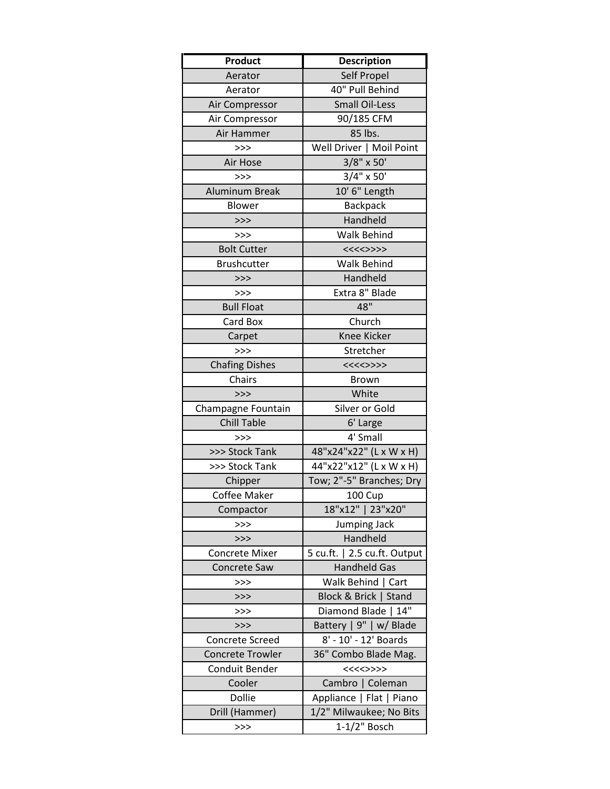| Product                 | <b>Description</b>           |
|-------------------------|------------------------------|
| Aerator                 | Self Propel                  |
| Aerator                 | 40" Pull Behind              |
| Air Compressor          | <b>Small Oil-Less</b>        |
| Air Compressor          | 90/185 CFM                   |
| Air Hammer              | 85 lbs.                      |
| >>                      | Well Driver   Moil Point     |
| Air Hose                | $3/8"$ x 50'                 |
| >>                      | $3/4"$ x 50'                 |
| <b>Aluminum Break</b>   | 10' 6" Length                |
| Blower                  | <b>Backpack</b>              |
| >>                      | Handheld                     |
| >>                      | <b>Walk Behind</b>           |
| <b>Bolt Cutter</b>      | <<<<>>>                      |
| <b>Brushcutter</b>      | Walk Behind                  |
| >>                      | Handheld                     |
| >>>                     | Extra 8" Blade               |
| <b>Bull Float</b>       | 48"                          |
| Card Box                | Church                       |
| Carpet                  | Knee Kicker                  |
| >>                      | Stretcher                    |
| <b>Chafing Dishes</b>   | <<<<>>>                      |
| Chairs                  | <b>Brown</b>                 |
| >>                      | White                        |
| Champagne Fountain      | Silver or Gold               |
| <b>Chill Table</b>      | 6' Large                     |
| >>                      | 4' Small                     |
| >>> Stock Tank          | 48"x24"x22" (L x W x H)      |
| >>> Stock Tank          | 44"x22"x12" (L x W x H)      |
| Chipper                 | Tow; 2"-5" Branches; Dry     |
| <b>Coffee Maker</b>     | <b>100 Cup</b>               |
| Compactor               | 18"x12"   23"x20"            |
| >>                      | Jumping Jack                 |
| >>                      | Handheld                     |
| <b>Concrete Mixer</b>   | 5 cu.ft.   2.5 cu.ft. Output |
| <b>Concrete Saw</b>     | <b>Handheld Gas</b>          |
| >>>                     | Walk Behind   Cart           |
| >>                      | Block & Brick   Stand        |
| >>>                     | Diamond Blade  <br>14"       |
| >>                      | Battery   9"   w/ Blade      |
| Concrete Screed         | 8' - 10' - 12' Boards        |
| <b>Concrete Trowler</b> | 36" Combo Blade Mag.         |
| Conduit Bender          | <<<<>>>                      |
| Cooler                  | Cambro   Coleman             |
| Dollie                  | Appliance   Flat   Piano     |
| Drill (Hammer)          | 1/2" Milwaukee; No Bits      |
| >>                      | $1-1/2$ " Bosch              |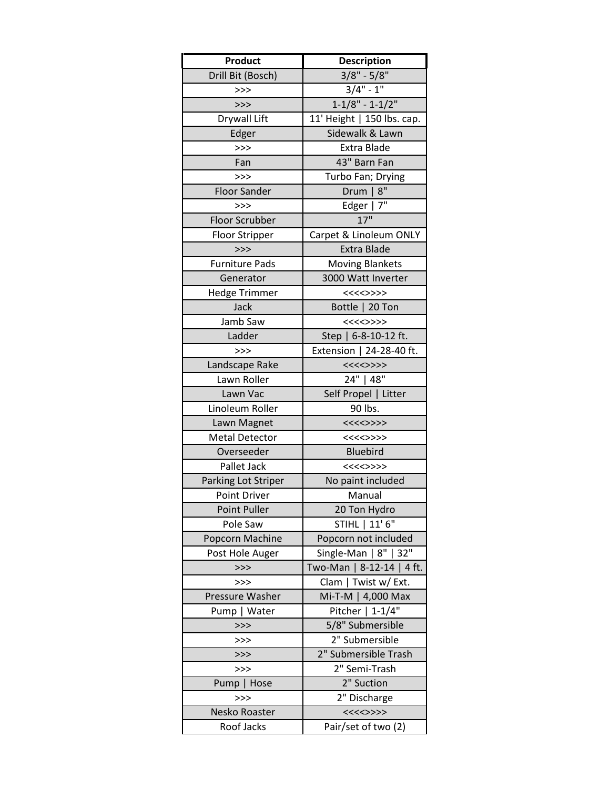| Product               | <b>Description</b>         |
|-----------------------|----------------------------|
| Drill Bit (Bosch)     | $3/8" - 5/8"$              |
| >>                    | $3/4" - 1"$                |
| >>                    | $1 - 1/8" - 1 - 1/2"$      |
| Drywall Lift          | 11' Height   150 lbs. cap. |
| Edger                 | Sidewalk & Lawn            |
| >>                    | Extra Blade                |
| Fan                   | 43" Barn Fan               |
| >>>                   | Turbo Fan; Drying          |
| <b>Floor Sander</b>   | $8^{\prime\prime}$<br>Drum |
| >>                    | Edger   7"                 |
| <b>Floor Scrubber</b> | 17"                        |
| <b>Floor Stripper</b> | Carpet & Linoleum ONLY     |
| >>                    | <b>Extra Blade</b>         |
| <b>Furniture Pads</b> | <b>Moving Blankets</b>     |
| Generator             | 3000 Watt Inverter         |
| <b>Hedge Trimmer</b>  | <<<<>>>                    |
| Jack                  | Bottle   20 Ton            |
| Jamb Saw              | <<<<>>>                    |
| Ladder                | Step   $6-8-10-12$ ft.     |
| >>                    | Extension   24-28-40 ft.   |
| Landscape Rake        | <<<<>>>                    |
| Lawn Roller           | 24"   48"                  |
| Lawn Vac              | Self Propel   Litter       |
| Linoleum Roller       | 90 lbs.                    |
| Lawn Magnet           | <<<<>>>                    |
| <b>Metal Detector</b> | <<<<>>>                    |
| Overseeder            | <b>Bluebird</b>            |
| Pallet Jack           | <<<<>>>                    |
| Parking Lot Striper   | No paint included          |
| <b>Point Driver</b>   | Manual                     |
| Point Puller          | 20 Ton Hydro               |
| Pole Saw              | STIHL   11' 6"             |
| Popcorn Machine       | Popcorn not included       |
| Post Hole Auger       | Single-Man   8"   32"      |
| >>                    | Two-Man   8-12-14   4 ft.  |
| >>>                   | Clam   Twist w/ Ext.       |
| Pressure Washer       | Mi-T-M   4,000 Max         |
| Pump   Water          | Pitcher   1-1/4"           |
| >>                    | 5/8" Submersible           |
| >>>                   | 2" Submersible             |
| >>                    | 2" Submersible Trash       |
| >>>                   | 2" Semi-Trash              |
| Pump   Hose           | 2" Suction                 |
| >>                    | 2" Discharge               |
| Nesko Roaster         | <<<<>>>                    |
| Roof Jacks            | Pair/set of two (2)        |